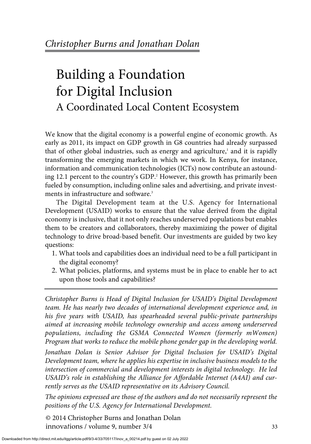# Building a Foundation for Digital Inclusion A Coordinated Local Content Ecosystem

We know that the digital economy is a powerful engine of economic growth. As early as 2011, its impact on GDP growth in G8 countries had already surpassed that of other global industries, such as energy and agriculture, $\frac{1}{2}$  and it is rapidly transforming the emerging markets in which we work. In Kenya, for instance, information and communication technologies (ICTs) now contribute an astounding 12.1 percent to the country's GDP.<sup>2</sup> However, this growth has primarily been fueled by consumption, including online sales and advertising, and private investments in infrastructure and software.<sup>3</sup>

The Digital Development team at the U.S. Agency for International Development (USAID) works to ensure that the value derived from the digital economy is inclusive, that it not only reaches underserved populations but enables them to be creators and collaborators, thereby maximizing the power of digital technology to drive broad-based benefit. Our investments are guided by two key questions:

- 1. What tools and capabilities does an individual need to be a full participant in the digital economy?
- 2. What policies, platforms, and systems must be in place to enable her to act upon those tools and capabilities?

*Christopher Burns is Head of Digital Inclusion for USAID's Digital Development team. He has nearly two decades of international development experience and, in his five years with USAID, has spearheaded several public-private partnerships aimed at increasing mobile technology ownership and access among underserved populations, including the GSMA Connected Women (formerly mWomen) Program that works to reduce the mobile phone gender gap in the developing world.*

*Jonathan Dolan is Senior Advisor for Digital Inclusion for USAID's Digital Development team, where he applies his expertise in inclusive business models to the intersection of commercial and development interests in digital technology. He led USAID's role in establishing the Alliance for Affordable Internet (A4AI) and currently serves as the USAID representative on its Advisory Council.*

*The opinions expressed are those of the authors and do not necessarily represent the positions of the U.S. Agency for International Development.*

© 2014 Christopher Burns and Jonathan Dolan innova*t*ions / volume 9, number 3/4 33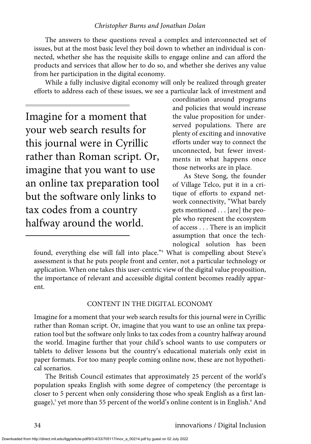The answers to these questions reveal a complex and interconnected set of issues, but at the most basic level they boil down to whether an individual is connected, whether she has the requisite skills to engage online and can afford the products and services that allow her to do so, and whether she derives any value from her participation in the digital economy.

While a fully inclusive digital economy will only be realized through greater efforts to address each of these issues, we see a particular lack of investment and

Imagine for a moment that your web search results for this journal were in Cyrillic rather than Roman script. Or, imagine that you want to use an online tax preparation tool but the software only links to tax codes from a country halfway around the world.

coordination around programs and policies that would increase the value proposition for underserved populations. There are plenty of exciting and innovative efforts under way to connect the unconnected, but fewer investments in what happens once those networks are in place.

As Steve Song, the founder of Village Telco, put it in a critique of efforts to expand network connectivity, "What barely gets mentioned . . . [are] the people who represent the ecosystem of access . . . There is an implicit assumption that once the technological solution has been

found, everything else will fall into place."<sup>4</sup> What is compelling about Steve's assessment is that he puts people front and center, not a particular technology or application. When one takes this user-centric view of the digital value proposition, the importance of relevant and accessible digital content becomes readily apparent.

### CONTENT IN THE DIGITAL ECONOMY

Imagine for a moment that your web search results for this journal were in Cyrillic rather than Roman script. Or, imagine that you want to use an online tax preparation tool but the software only links to tax codes from a country halfway around the world. Imagine further that your child's school wants to use computers or tablets to deliver lessons but the country's educational materials only exist in paper formats. For too many people coming online now, these are not hypothetical scenarios.

The British Council estimates that approximately 25 percent of the world's population speaks English with some degree of competency (the percentage is closer to 5 percent when only considering those who speak English as a first language),<sup>5</sup> yet more than 55 percent of the world's online content is in English.<sup>6</sup> And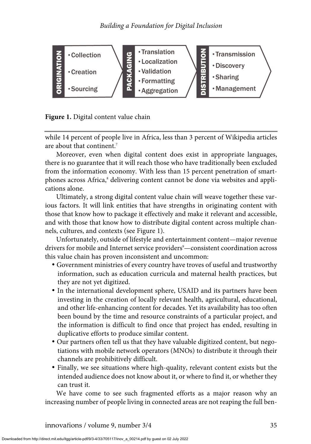

## **Figure 1.** Digital content value chain

while 14 percent of people live in Africa, less than 3 percent of Wikipedia articles are about that continent.7

Moreover, even when digital content does exist in appropriate languages, there is no guarantee that it will reach those who have traditionally been excluded from the information economy. With less than 15 percent penetration of smartphones across Africa,<sup>8</sup> delivering content cannot be done via websites and applications alone.

Ultimately, a strong digital content value chain will weave together these various factors. It will link entities that have strengths in originating content with those that know how to package it effectively and make it relevant and accessible, and with those that know how to distribute digital content across multiple channels, cultures, and contexts (see Figure 1).

Unfortunately, outside of lifestyle and entertainment content—major revenue drivers for mobile and Internet service providers<sup>9</sup>—consistent coordination across this value chain has proven inconsistent and uncommon:

- Government ministries of every country have troves of useful and trustworthy information, such as education curricula and maternal health practices, but they are not yet digitized.
- In the international development sphere, USAID and its partners have been investing in the creation of locally relevant health, agricultural, educational, and other life-enhancing content for decades. Yet its availability has too often been bound by the time and resource constraints of a particular project, and the information is difficult to find once that project has ended, resulting in duplicative efforts to produce similar content.
- Our partners often tell us that they have valuable digitized content, but negotiations with mobile network operators (MNOs) to distribute it through their channels are prohibitively difficult.
- Finally, we see situations where high-quality, relevant content exists but the intended audience does not know about it, or where to find it, or whether they can trust it.

We have come to see such fragmented efforts as a major reason why an increasing number of people living in connected areas are not reaping the full ben-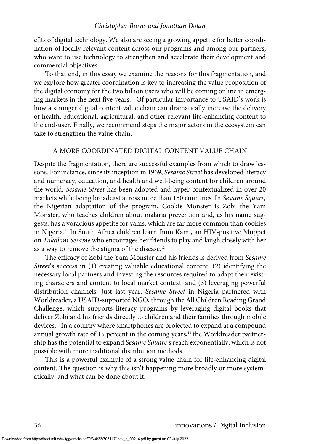efits of digital technology. We also are seeing a growing appetite for better coordination of locally relevant content across our programs and among our partners, who want to use technology to strengthen and accelerate their development and commercial objectives.

To that end, in this essay we examine the reasons for this fragmentation, and we explore how greater coordination is key to increasing the value proposition of the digital economy for the two billion users who will be coming online in emerging markets in the next five years.10 Of particular importance to USAID's work is how a stronger digital content value chain can dramatically increase the delivery of health, educational, agricultural, and other relevant life-enhancing content to the end-user. Finally, we recommend steps the major actors in the ecosystem can take to strengthen the value chain.

#### A MORE COORDINATED DIGITAL CONTENT VALUE CHAIN

Despite the fragmentation, there are successful examples from which to draw lessons. For instance, since its inception in 1969, *Sesame Street* has developed literacy and numeracy, education, and health and well-being content for children around the world. *Sesame Street* has been adopted and hyper-contextualized in over 20 markets while being broadcast across more than 150 countries. In *Sesame Square,* the Nigerian adaptation of the program, Cookie Monster is Zobi the Yam Monster, who teaches children about malaria prevention and, as his name suggests, has a voracious appetite for yams, which are far more common than cookies in Nigeria.11 In South Africa children learn from Kami, an HIV-positive Muppet on *Takalani Sesame* who encourages her friends to play and laugh closely with her as a way to remove the stigma of the disease.<sup>12</sup>

The efficacy of Zobi the Yam Monster and his friends is derived from *Sesame Street*'s success in (1) creating valuable educational content; (2) identifying the necessary local partners and investing the resources required to adapt their existing characters and content to local market context; and (3) leveraging powerful distribution channels. Just last year, *Sesame Street* in Nigeria partnered with Worldreader, a USAID-supported NGO, through the All Children Reading Grand Challenge, which supports literacy programs by leveraging digital books that deliver Zobi and his friends directly to children and their families through mobile devices.13 In a country where smartphones are projected to expand at a compound annual growth rate of 15 percent in the coming years, $14$  the Worldreader partnership has the potential to expand *Sesame Square*'s reach exponentially, which is not possible with more traditional distribution methods.

This is a powerful example of a strong value chain for life-enhancing digital content. The question is why this isn't happening more broadly or more systematically, and what can be done about it.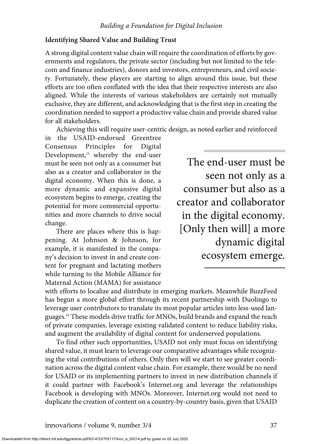### **Identifying Shared Value and Building Trust**

A strong digital content value chain will require the coordination of efforts by governments and regulators, the private sector (including but not limited to the telecom and finance industries), donors and investors, entrepreneurs, and civil society. Fortunately, these players are starting to align around this issue, but these efforts are too often conflated with the idea that their respective interests are also aligned. While the interests of various stakeholders are certainly not mutually exclusive, they are different, and acknowledging that is the first step in creating the coordination needed to support a productive value chain and provide shared value for all stakeholders.

Achieving this will require user-centric design, as noted earlier and reinforced

in the USAID-endorsed Greentree Consensus Principles for Digital Development,<sup>15</sup> whereby the end-user must be seen not only as a consumer but also as a creator and collaborator in the digital economy. When this is done, a more dynamic and expansive digital ecosystem begins to emerge, creating the potential for more commercial opportunities and more channels to drive social change.

There are places where this is happening. At Johnson & Johnson, for example, it is manifested in the company's decision to invest in and create content for pregnant and lactating mothers while turning to the Mobile Alliance for Maternal Action (MAMA) for assistance

The end-user must be seen not only as a consumer but also as a creator and collaborator in the digital economy. [Only then will] a more dynamic digital ecosystem emerge.

with efforts to localize and distribute in emerging markets. Meanwhile BuzzFeed has begun a more global effort through its recent partnership with Duolingo to leverage user contributors to translate its most popular articles into less-used languages.16 These models drive traffic for MNOs, build brands and expand the reach of private companies, leverage existing validated content to reduce liability risks, and augment the availability of digital content for underserved populations.

To find other such opportunities, USAID not only must focus on identifying shared value, it must learn to leverage our comparative advantages while recognizing the vital contributions of others. Only then will we start to see greater coordination across the digital content value chain. For example, there would be no need for USAID or its implementing partners to invest in new distribution channels if it could partner with Facebook's Internet.org and leverage the relationships Facebook is developing with MNOs. Moreover, Internet.org would not need to duplicate the creation of content on a country-by-country basis, given that USAID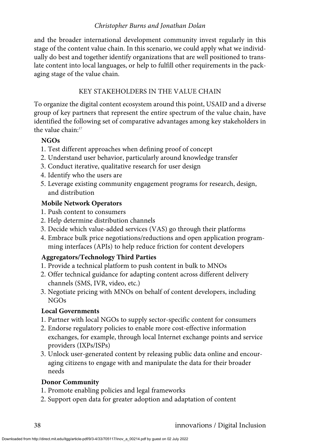and the broader international development community invest regularly in this stage of the content value chain. In this scenario, we could apply what we individually do best and together identify organizations that are well positioned to translate content into local languages, or help to fulfill other requirements in the packaging stage of the value chain.

# KEY STAKEHOLDERS IN THE VALUE CHAIN

To organize the digital content ecosystem around this point, USAID and a diverse group of key partners that represent the entire spectrum of the value chain, have identified the following set of comparative advantages among key stakeholders in the value chain: $17$ 

## **NGOs**

- 1. Test different approaches when defining proof of concept
- 2. Understand user behavior, particularly around knowledge transfer
- 3. Conduct iterative, qualitative research for user design
- 4. Identify who the users are
- 5. Leverage existing community engagement programs for research, design, and distribution

## **Mobile Network Operators**

- 1. Push content to consumers
- 2. Help determine distribution channels
- 3. Decide which value-added services (VAS) go through their platforms
- 4. Embrace bulk price negotiations/reductions and open application programming interfaces (APIs) to help reduce friction for content developers

# **Aggregators/Technology Third Parties**

- 1. Provide a technical platform to push content in bulk to MNOs
- 2. Offer technical guidance for adapting content across different delivery channels (SMS, IVR, video, etc.)
- 3. Negotiate pricing with MNOs on behalf of content developers, including NGOs

# **Local Governments**

- 1. Partner with local NGOs to supply sector-specific content for consumers
- 2. Endorse regulatory policies to enable more cost-effective information exchanges, for example, through local Internet exchange points and service providers (IXPs/ISPs)
- 3. Unlock user-generated content by releasing public data online and encouraging citizens to engage with and manipulate the data for their broader needs

# **Donor Community**

- 1. Promote enabling policies and legal frameworks
- 2. Support open data for greater adoption and adaptation of content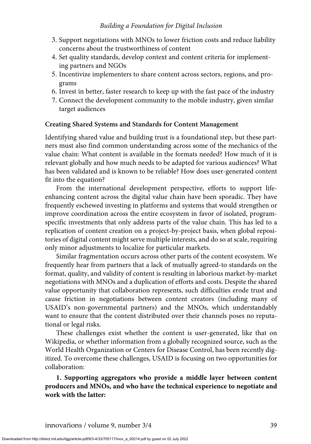## *Building a Foundation for Digital Inclusion*

- 3. Support negotiations with MNOs to lower friction costs and reduce liability concerns about the trustworthiness of content
- 4. Set quality standards, develop context and content criteria for implementing partners and NGOs
- 5. Incentivize implementers to share content across sectors, regions, and programs
- 6. Invest in better, faster research to keep up with the fast pace of the industry
- 7. Connect the development community to the mobile industry, given similar target audiences

## **Creating Shared Systems and Standards for Content Management**

Identifying shared value and building trust is a foundational step, but these partners must also find common understanding across some of the mechanics of the value chain: What content is available in the formats needed? How much of it is relevant globally and how much needs to be adapted for various audiences? What has been validated and is known to be reliable? How does user-generated content fit into the equation?

From the international development perspective, efforts to support lifeenhancing content across the digital value chain have been sporadic. They have frequently eschewed investing in platforms and systems that would strengthen or improve coordination across the entire ecosystem in favor of isolated, programspecific investments that only address parts of the value chain. This has led to a replication of content creation on a project-by-project basis, when global repositories of digital content might serve multiple interests, and do so at scale, requiring only minor adjustments to localize for particular markets.

Similar fragmentation occurs across other parts of the content ecosystem. We frequently hear from partners that a lack of mutually agreed-to standards on the format, quality, and validity of content is resulting in laborious market-by-market negotiations with MNOs and a duplication of efforts and costs. Despite the shared value opportunity that collaboration represents, such difficulties erode trust and cause friction in negotiations between content creators (including many of USAID's non-governmental partners) and the MNOs, which understandably want to ensure that the content distributed over their channels poses no reputational or legal risks.

These challenges exist whether the content is user-generated, like that on Wikipedia, or whether information from a globally recognized source, such as the World Health Organization or Centers for Disease Control, has been recently digitized. To overcome these challenges, USAID is focusing on two opportunities for collaboration:

**1. Supporting aggregators who provide a middle layer between content producers and MNOs, and who have the technical experience to negotiate and work with the latter:**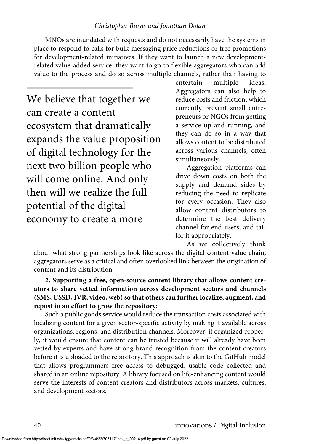MNOs are inundated with requests and do not necessarily have the systems in place to respond to calls for bulk-messaging price reductions or free promotions for development-related initiatives. If they want to launch a new developmentrelated value-added service, they want to go to flexible aggregators who can add value to the process and do so across multiple channels, rather than having to

We believe that together we can create a content ecosystem that dramatically expands the value proposition of digital technology for the next two billion people who will come online. And only then will we realize the full potential of the digital economy to create a more

entertain multiple ideas. Aggregators can also help to reduce costs and friction, which currently prevent small entrepreneurs or NGOs from getting a service up and running, and they can do so in a way that allows content to be distributed across various channels, often simultaneously.

Aggregation platforms can drive down costs on both the supply and demand sides by reducing the need to replicate for every occasion. They also allow content distributors to determine the best delivery channel for end-users, and tailor it appropriately.

As we collectively think

about what strong partnerships look like across the digital content value chain, aggregators serve as a critical and often overlooked link between the origination of content and its distribution.

**2. Supporting a free, open-source content library that allows content creators to share vetted information across development sectors and channels (SMS, USSD, IVR, video, web) so that others can further localize, augment, and repost in an effort to grow the repository:**

Such a public goods service would reduce the transaction costs associated with localizing content for a given sector-specific activity by making it available across organizations, regions, and distribution channels. Moreover, if organized properly, it would ensure that content can be trusted because it will already have been vetted by experts and have strong brand recognition from the content creators before it is uploaded to the repository. This approach is akin to the GitHub model that allows programmers free access to debugged, usable code collected and shared in an online repository. A library focused on life-enhancing content would serve the interests of content creators and distributors across markets, cultures, and development sectors.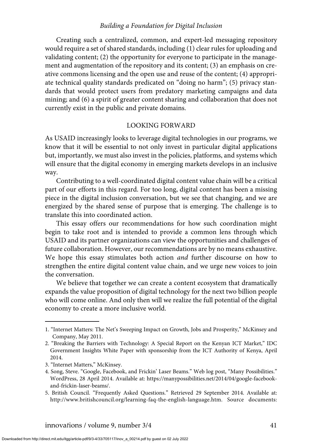#### *Building a Foundation for Digital Inclusion*

Creating such a centralized, common, and expert-led messaging repository would require a set of shared standards, including (1) clear rules for uploading and validating content; (2) the opportunity for everyone to participate in the management and augmentation of the repository and its content; (3) an emphasis on creative commons licensing and the open use and reuse of the content; (4) appropriate technical quality standards predicated on "doing no harm"; (5) privacy standards that would protect users from predatory marketing campaigns and data mining; and (6) a spirit of greater content sharing and collaboration that does not currently exist in the public and private domains.

#### LOOKING FORWARD

As USAID increasingly looks to leverage digital technologies in our programs, we know that it will be essential to not only invest in particular digital applications but, importantly, we must also invest in the policies, platforms, and systems which will ensure that the digital economy in emerging markets develops in an inclusive way.

Contributing to a well-coordinated digital content value chain will be a critical part of our efforts in this regard. For too long, digital content has been a missing piece in the digital inclusion conversation, but we see that changing, and we are energized by the shared sense of purpose that is emerging. The challenge is to translate this into coordinated action.

This essay offers our recommendations for how such coordination might begin to take root and is intended to provide a common lens through which USAID and its partner organizations can view the opportunities and challenges of future collaboration. However, our recommendations are by no means exhaustive. We hope this essay stimulates both action *and* further discourse on how to strengthen the entire digital content value chain, and we urge new voices to join the conversation.

We believe that together we can create a content ecosystem that dramatically expands the value proposition of digital technology for the next two billion people who will come online. And only then will we realize the full potential of the digital economy to create a more inclusive world.

<sup>1. &</sup>quot;Internet Matters: The Net's Sweeping Impact on Growth, Jobs and Prosperity," McKinsey and Company, May 2011.

<sup>2. &</sup>quot;Breaking the Barriers with Technology: A Special Report on the Kenyan ICT Market," IDC Government Insights White Paper with sponsorship from the ICT Authority of Kenya, April 2014.

<sup>3. &</sup>quot;Internet Matters," McKinsey.

<sup>4.</sup> Song, Steve. "Google, Facebook, and Frickin' Laser Beams." Web log post, "Many Possibilities." WordPress, 28 April 2014. Available at: https://manypossibilities.net/2014/04/google-facebookand-frickin-laser-beams/.

<sup>5.</sup> British Council. "Frequently Asked Questions." Retrieved 29 September 2014. Available at: http://www.britishcouncil.org/learning-faq-the-english-language.htm. Source documents: